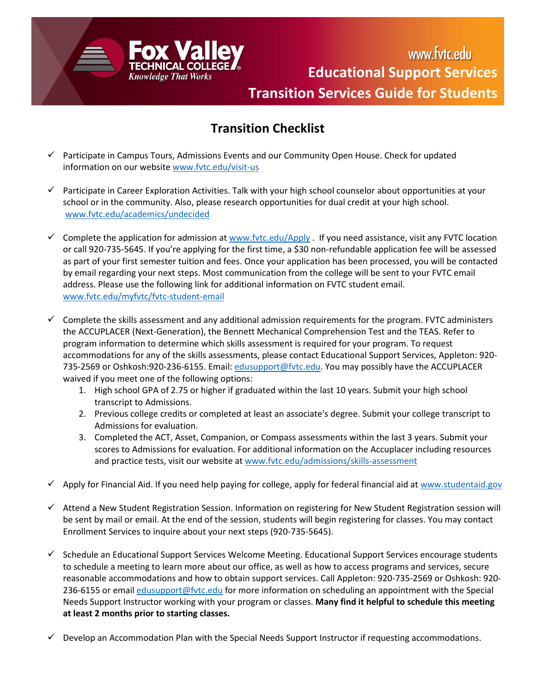

www.fvtc.edu **Educational Support Services Transition Services Guide for Students**

## **Transition Checklist**

- Participate in Campus Tours, Admissions Events and our Community Open House. Check for updated information on our website [www.fvtc.edu/visit-us](https://www.fvtc.edu/visit-us)
- $\checkmark$  Participate in Career Exploration Activities. Talk with your high school counselor about opportunities at your school or in the community. Also, please research opportunities for dual credit at your high school. [www.fvtc.edu/academics/undecided](https://www.fvtc.edu/academics/undecided)
- Complete the application for admission at [www.fvtc.edu/Apply](http://www.fvtc.edu/Apply) . If you need assistance, visit any FVTC location or call 920-735-5645. If you're applying for the first time, a \$30 non-refundable application fee will be assessed as part of your first semester tuition and fees. Once your application has been processed, you will be contacted by email regarding your next steps. Most communication from the college will be sent to your FVTC email address. Please use the following link for additional information on FVTC student email. [www.fvtc.edu/myfvtc/fvtc-student-email](https://www.fvtc.edu/myfvtc/fvtc-student-email)
- $\checkmark$  Complete the skills assessment and any additional admission requirements for the program. FVTC administers the ACCUPLACER (Next-Generation), the Bennett Mechanical Comprehension Test and the TEAS. Refer to program information to determine which skills assessment is required for your program. To request accommodations for any of the skills assessments, please contact Educational Support Services, Appleton: 920- 735-2569 or Oshkosh:920-236-6155. Email: [edusupport@fvtc.edu.](mailto:edusupport@fvtc.edu) You may possibly have the ACCUPLACER waived if you meet one of the following options:
	- 1. High school GPA of 2.75 or higher if graduated within the last 10 years. Submit your high school transcript to Admissions.
	- 2. Previous college credits or completed at least an associate's degree. Submit your college transcript to Admissions for evaluation.
	- 3. Completed the ACT, Asset, Companion, or Compass assessments within the last 3 years. Submit your scores to Admissions for evaluation. For additional information on the Accuplacer including resources and practice tests, visit our website at [www.fvtc.edu/admissions/skills-assessment](http://www.fvtc.edu/admissions/skills-assessment)
- Apply for Financial Aid. If you need help paying for college, apply for federal financial aid at [www.studentaid.gov](http://www.studentaid.gov/)
- Attend a New Student Registration Session. Information on registering for New Student Registration session will be sent by mail or email. At the end of the session, students will begin registering for classes. You may contact Enrollment Services to inquire about your next steps (920-735-5645).
- $\checkmark$  Schedule an Educational Support Services Welcome Meeting. Educational Support Services encourage students to schedule a meeting to learn more about our office, as well as how to access programs and services, secure reasonable accommodations and how to obtain support services. Call Appleton: 920-735-2569 or Oshkosh: 920 236-6155 or email [edusupport@fvtc.edu](mailto:edusupport@fvtc.edu) for more information on scheduling an appointment with the Special Needs Support Instructor working with your program or classes. **Many find it helpful to schedule this meeting at least 2 months prior to starting classes.**
- $\checkmark$  Develop an Accommodation Plan with the Special Needs Support Instructor if requesting accommodations.